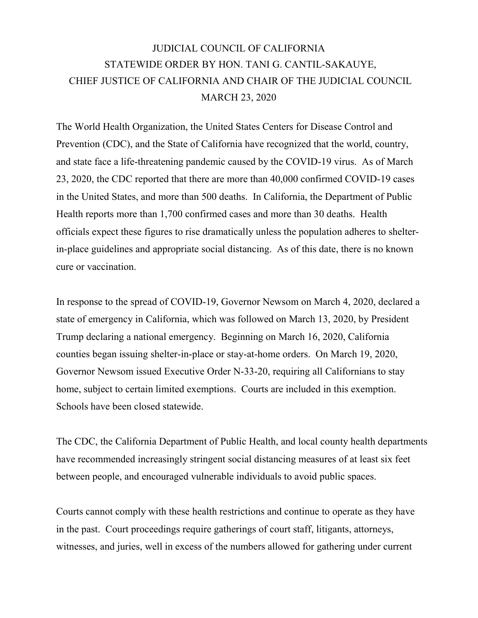## JUDICIAL COUNCIL OF CALIFORNIA STATEWIDE ORDER BY HON. TANI G. CANTIL-SAKAUYE, CHIEF JUSTICE OF CALIFORNIA AND CHAIR OF THE JUDICIAL COUNCIL MARCH 23, 2020

The World Health Organization, the United States Centers for Disease Control and Prevention (CDC), and the State of California have recognized that the world, country, and state face a life-threatening pandemic caused by the COVID-19 virus. As of March 23, 2020, the CDC reported that there are more than 40,000 confirmed COVID-19 cases in the United States, and more than 500 deaths. In California, the Department of Public Health reports more than 1,700 confirmed cases and more than 30 deaths. Health officials expect these figures to rise dramatically unless the population adheres to shelterin-place guidelines and appropriate social distancing. As of this date, there is no known cure or vaccination.

In response to the spread of COVID-19, Governor Newsom on March 4, 2020, declared a state of emergency in California, which was followed on March 13, 2020, by President Trump declaring a national emergency. Beginning on March 16, 2020, California counties began issuing shelter-in-place or stay-at-home orders. On March 19, 2020, Governor Newsom issued Executive Order N-33-20, requiring all Californians to stay home, subject to certain limited exemptions. Courts are included in this exemption. Schools have been closed statewide.

The CDC, the California Department of Public Health, and local county health departments have recommended increasingly stringent social distancing measures of at least six feet between people, and encouraged vulnerable individuals to avoid public spaces.

Courts cannot comply with these health restrictions and continue to operate as they have in the past. Court proceedings require gatherings of court staff, litigants, attorneys, witnesses, and juries, well in excess of the numbers allowed for gathering under current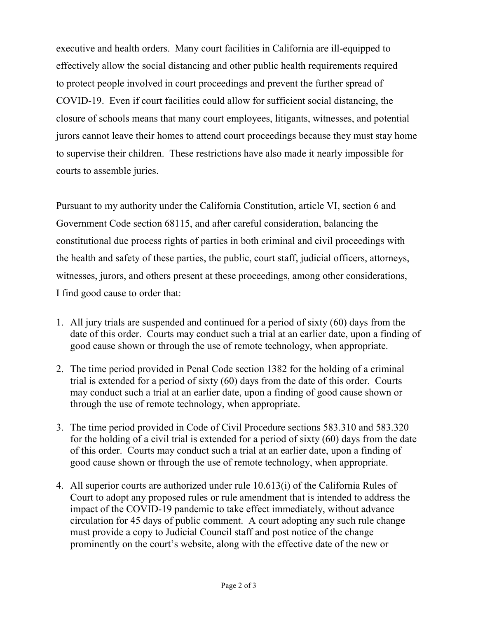executive and health orders. Many court facilities in California are ill-equipped to effectively allow the social distancing and other public health requirements required to protect people involved in court proceedings and prevent the further spread of COVID-19. Even if court facilities could allow for sufficient social distancing, the closure of schools means that many court employees, litigants, witnesses, and potential jurors cannot leave their homes to attend court proceedings because they must stay home to supervise their children. These restrictions have also made it nearly impossible for courts to assemble juries.

Pursuant to my authority under the California Constitution, article VI, section 6 and Government Code section 68115, and after careful consideration, balancing the constitutional due process rights of parties in both criminal and civil proceedings with the health and safety of these parties, the public, court staff, judicial officers, attorneys, witnesses, jurors, and others present at these proceedings, among other considerations, I find good cause to order that:

- 1. All jury trials are suspended and continued for a period of sixty (60) days from the date of this order. Courts may conduct such a trial at an earlier date, upon a finding of good cause shown or through the use of remote technology, when appropriate.
- 2. The time period provided in Penal Code section 1382 for the holding of a criminal trial is extended for a period of sixty (60) days from the date of this order. Courts may conduct such a trial at an earlier date, upon a finding of good cause shown or through the use of remote technology, when appropriate.
- 3. The time period provided in Code of Civil Procedure sections 583.310 and 583.320 for the holding of a civil trial is extended for a period of sixty (60) days from the date of this order. Courts may conduct such a trial at an earlier date, upon a finding of good cause shown or through the use of remote technology, when appropriate.
- 4. All superior courts are authorized under rule 10.613(i) of the California Rules of Court to adopt any proposed rules or rule amendment that is intended to address the impact of the COVID-19 pandemic to take effect immediately, without advance circulation for 45 days of public comment. A court adopting any such rule change must provide a copy to Judicial Council staff and post notice of the change prominently on the court's website, along with the effective date of the new or